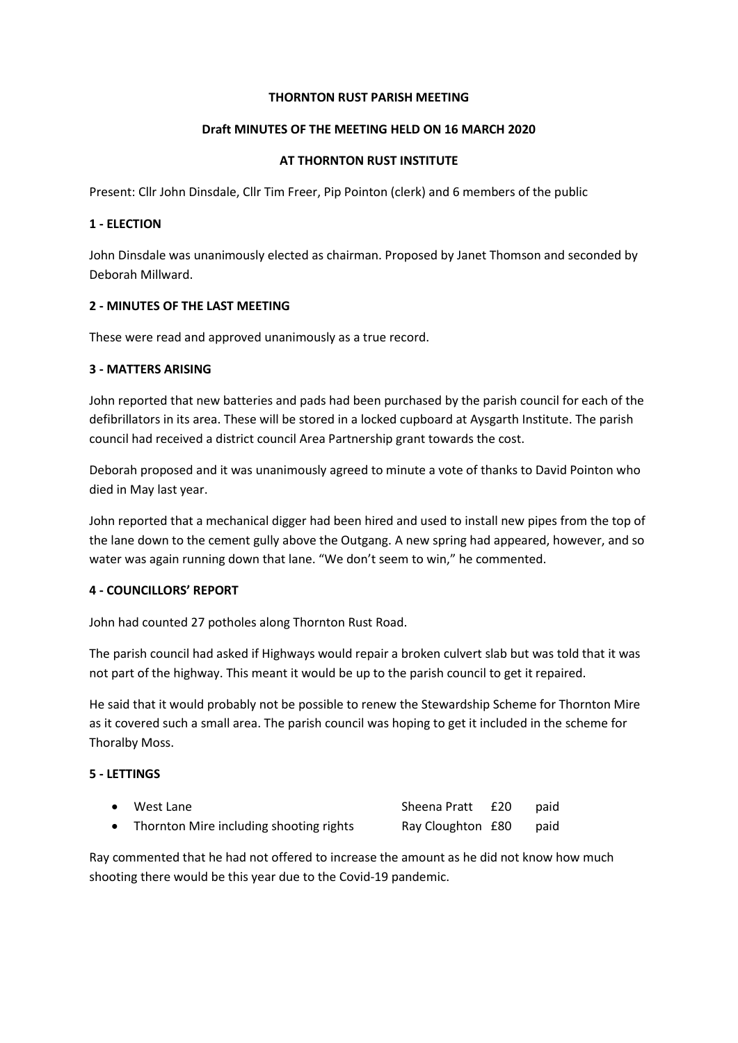## **THORNTON RUST PARISH MEETING**

# **Draft MINUTES OF THE MEETING HELD ON 16 MARCH 2020**

## **AT THORNTON RUST INSTITUTE**

Present: Cllr John Dinsdale, Cllr Tim Freer, Pip Pointon (clerk) and 6 members of the public

## **1 - ELECTION**

John Dinsdale was unanimously elected as chairman. Proposed by Janet Thomson and seconded by Deborah Millward.

### **2 - MINUTES OF THE LAST MEETING**

These were read and approved unanimously as a true record.

### **3 - MATTERS ARISING**

John reported that new batteries and pads had been purchased by the parish council for each of the defibrillators in its area. These will be stored in a locked cupboard at Aysgarth Institute. The parish council had received a district council Area Partnership grant towards the cost.

Deborah proposed and it was unanimously agreed to minute a vote of thanks to David Pointon who died in May last year.

John reported that a mechanical digger had been hired and used to install new pipes from the top of the lane down to the cement gully above the Outgang. A new spring had appeared, however, and so water was again running down that lane. "We don't seem to win," he commented.

# **4 - COUNCILLORS' REPORT**

John had counted 27 potholes along Thornton Rust Road.

The parish council had asked if Highways would repair a broken culvert slab but was told that it was not part of the highway. This meant it would be up to the parish council to get it repaired.

He said that it would probably not be possible to renew the Stewardship Scheme for Thornton Mire as it covered such a small area. The parish council was hoping to get it included in the scheme for Thoralby Moss.

# **5 - LETTINGS**

| • West Lane                               | Sheena Pratt £20  | paid |
|-------------------------------------------|-------------------|------|
| • Thornton Mire including shooting rights | Ray Cloughton £80 | paid |

Ray commented that he had not offered to increase the amount as he did not know how much shooting there would be this year due to the Covid-19 pandemic.